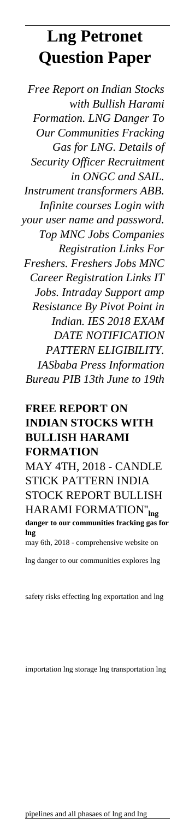## **Lng Petronet Question Paper**

*Free Report on Indian Stocks with Bullish Harami Formation. LNG Danger To Our Communities Fracking Gas for LNG. Details of Security Officer Recruitment in ONGC and SAIL. Instrument transformers ABB. Infinite courses Login with your user name and password. Top MNC Jobs Companies Registration Links For Freshers. Freshers Jobs MNC Career Registration Links IT Jobs. Intraday Support amp Resistance By Pivot Point in Indian. IES 2018 EXAM DATE NOTIFICATION PATTERN ELIGIBILITY. IASbaba Press Information Bureau PIB 13th June to 19th*

**FREE REPORT ON INDIAN STOCKS WITH BULLISH HARAMI FORMATION** MAY 4TH, 2018 - CANDLE STICK PATTERN INDIA STOCK REPORT BULLISH HARAMI FORMATION''**lng danger to our communities fracking gas for lng** may 6th, 2018 - comprehensive website on

lng danger to our communities explores lng

safety risks effecting lng exportation and lng

importation lng storage lng transportation lng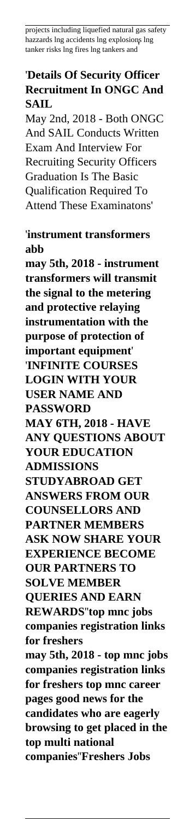projects including liquefied natural gas safety hazzards lng accidents lng explosions lng tanker risks lng fires lng tankers and'

## '**Details Of Security Officer Recruitment In ONGC And SAIL**

May 2nd, 2018 - Both ONGC And SAIL Conducts Written Exam And Interview For Recruiting Security Officers Graduation Is The Basic Qualification Required To Attend These Examinatons'

## '**instrument transformers abb**

**may 5th, 2018 - instrument transformers will transmit the signal to the metering and protective relaying instrumentation with the purpose of protection of important equipment**' '**INFINITE COURSES LOGIN WITH YOUR USER NAME AND PASSWORD MAY 6TH, 2018 - HAVE ANY QUESTIONS ABOUT YOUR EDUCATION ADMISSIONS STUDYABROAD GET ANSWERS FROM OUR COUNSELLORS AND PARTNER MEMBERS ASK NOW SHARE YOUR EXPERIENCE BECOME OUR PARTNERS TO SOLVE MEMBER QUERIES AND EARN REWARDS**''**top mnc jobs companies registration links for freshers may 5th, 2018 - top mnc jobs companies registration links for freshers top mnc career pages good news for the candidates who are eagerly browsing to get placed in the top multi national**

**companies**''**Freshers Jobs**